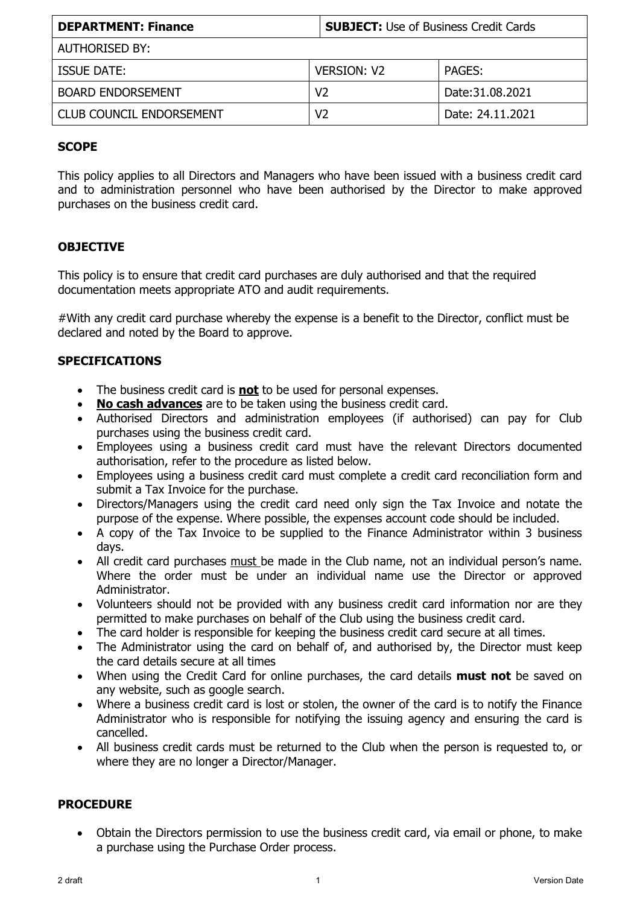| <b>DEPARTMENT: Finance</b>      | <b>SUBJECT:</b> Use of Business Credit Cards |                  |
|---------------------------------|----------------------------------------------|------------------|
| AUTHORISED BY:                  |                                              |                  |
| <b>ISSUE DATE:</b>              | <b>VERSION: V2</b>                           | <b>PAGES:</b>    |
| <b>BOARD ENDORSEMENT</b>        | V2                                           | Date: 31.08.2021 |
| <b>CLUB COUNCIL ENDORSEMENT</b> | V2                                           | Date: 24.11.2021 |

## **SCOPE**

This policy applies to all Directors and Managers who have been issued with a business credit card and to administration personnel who have been authorised by the Director to make approved purchases on the business credit card.

## **OBJECTIVE**

This policy is to ensure that credit card purchases are duly authorised and that the required documentation meets appropriate ATO and audit requirements.

#With any credit card purchase whereby the expense is a benefit to the Director, conflict must be declared and noted by the Board to approve.

## **SPECIFICATIONS**

- The business credit card is **not** to be used for personal expenses.
- **No cash advances** are to be taken using the business credit card.
- Authorised Directors and administration employees (if authorised) can pay for Club purchases using the business credit card.
- Employees using a business credit card must have the relevant Directors documented authorisation, refer to the procedure as listed below.
- Employees using a business credit card must complete a credit card reconciliation form and submit a Tax Invoice for the purchase.
- Directors/Managers using the credit card need only sign the Tax Invoice and notate the purpose of the expense. Where possible, the expenses account code should be included.
- A copy of the Tax Invoice to be supplied to the Finance Administrator within 3 business days.
- All credit card purchases must be made in the Club name, not an individual person's name. Where the order must be under an individual name use the Director or approved Administrator.
- Volunteers should not be provided with any business credit card information nor are they permitted to make purchases on behalf of the Club using the business credit card.
- The card holder is responsible for keeping the business credit card secure at all times.
- The Administrator using the card on behalf of, and authorised by, the Director must keep the card details secure at all times
- When using the Credit Card for online purchases, the card details **must not** be saved on any website, such as google search.
- Where a business credit card is lost or stolen, the owner of the card is to notify the Finance Administrator who is responsible for notifying the issuing agency and ensuring the card is cancelled.
- All business credit cards must be returned to the Club when the person is requested to, or where they are no longer a Director/Manager.

## **PROCEDURE**

• Obtain the Directors permission to use the business credit card, via email or phone, to make a purchase using the Purchase Order process.